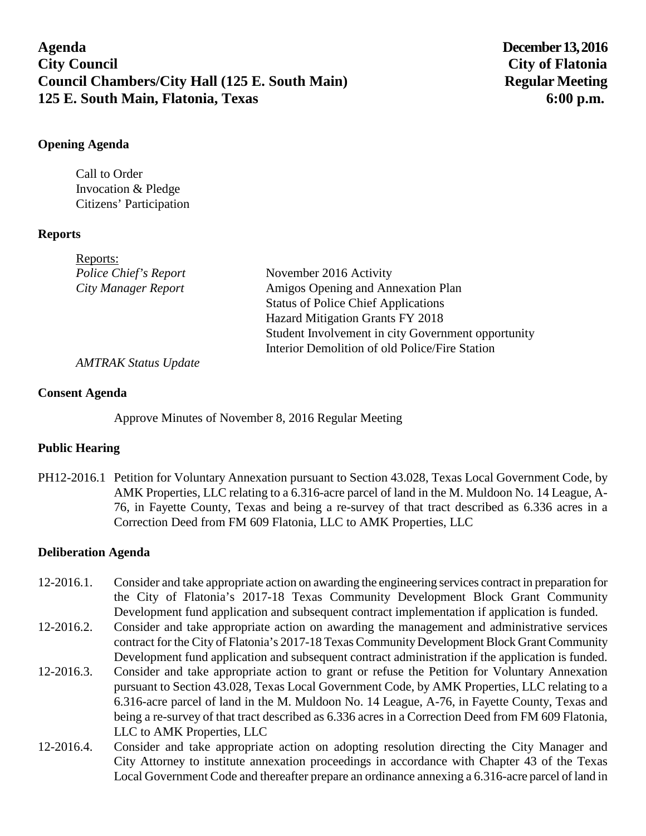# **Agenda December13, 2016 City Council City of Flatonia Council Chambers/City Hall (125 E. South Main)** Regular Meeting **125 E. South Main, Flatonia, Texas 6:00 p.m.**

## **Opening Agenda**

Call to Order Invocation & Pledge Citizens' Participation

#### **Reports**

| Reports:              |                                                    |
|-----------------------|----------------------------------------------------|
| Police Chief's Report | November 2016 Activity                             |
| City Manager Report   | Amigos Opening and Annexation Plan                 |
|                       | <b>Status of Police Chief Applications</b>         |
|                       | Hazard Mitigation Grants FY 2018                   |
|                       | Student Involvement in city Government opportunity |
|                       | Interior Demolition of old Police/Fire Station     |
|                       |                                                    |

*AMTRAK Status Update*

#### **Consent Agenda**

Approve Minutes of November 8, 2016 Regular Meeting

## **Public Hearing**

PH12-2016.1 Petition for Voluntary Annexation pursuant to Section 43.028, Texas Local Government Code, by AMK Properties, LLC relating to a 6.316-acre parcel of land in the M. Muldoon No. 14 League, A-76, in Fayette County, Texas and being a re-survey of that tract described as 6.336 acres in a Correction Deed from FM 609 Flatonia, LLC to AMK Properties, LLC

## **Deliberation Agenda**

- 12-2016.1. Consider and take appropriate action on awarding the engineering services contract in preparation for the City of Flatonia's 2017-18 Texas Community Development Block Grant Community Development fund application and subsequent contract implementation if application is funded.
- 12-2016.2. Consider and take appropriate action on awarding the management and administrative services contract for the City of Flatonia's 2017-18 Texas Community Development Block Grant Community Development fund application and subsequent contract administration if the application is funded.
- 12-2016.3. Consider and take appropriate action to grant or refuse the Petition for Voluntary Annexation pursuant to Section 43.028, Texas Local Government Code, by AMK Properties, LLC relating to a 6.316-acre parcel of land in the M. Muldoon No. 14 League, A-76, in Fayette County, Texas and being a re-survey of that tract described as 6.336 acres in a Correction Deed from FM 609 Flatonia, LLC to AMK Properties, LLC
- 12-2016.4. Consider and take appropriate action on adopting resolution directing the City Manager and City Attorney to institute annexation proceedings in accordance with Chapter 43 of the Texas Local Government Code and thereafter prepare an ordinance annexing a 6.316-acre parcel of land in